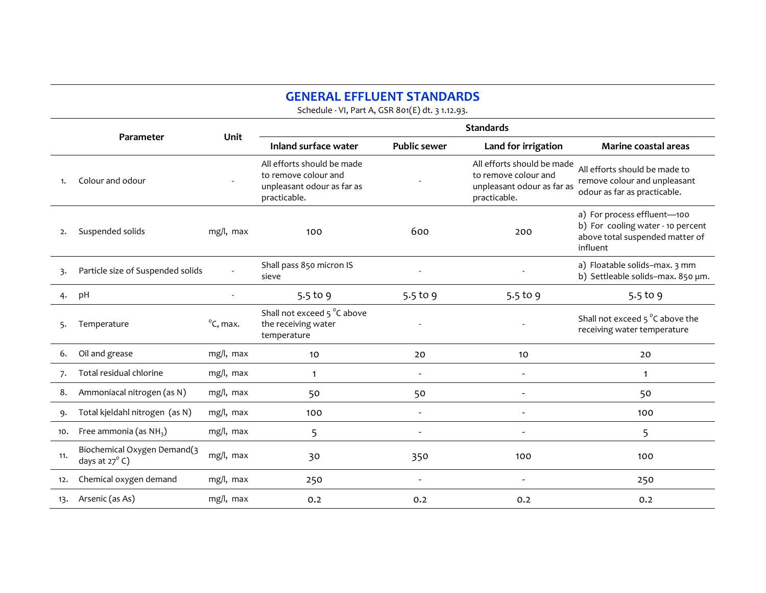## GENERAL EFFLUENT STANDARDS

Schedule - VI, Part A, GSR 801(E) dt. 3 1.12.93.

|     |                                                        | Unit                        | <b>Standards</b>                                                                                 |                          |                                                                                                  |                                                                                                                 |  |
|-----|--------------------------------------------------------|-----------------------------|--------------------------------------------------------------------------------------------------|--------------------------|--------------------------------------------------------------------------------------------------|-----------------------------------------------------------------------------------------------------------------|--|
|     | Parameter                                              |                             | Inland surface water                                                                             | <b>Public sewer</b>      | Land for irrigation                                                                              | <b>Marine coastal areas</b>                                                                                     |  |
|     | Colour and odour                                       |                             | All efforts should be made<br>to remove colour and<br>unpleasant odour as far as<br>practicable. |                          | All efforts should be made<br>to remove colour and<br>unpleasant odour as far as<br>practicable. | All efforts should be made to<br>remove colour and unpleasant<br>odour as far as practicable.                   |  |
| 2.  | Suspended solids                                       | mg/l, max                   | 100                                                                                              | 600                      | 200                                                                                              | a) For process effluent-100<br>b) For cooling water - 10 percent<br>above total suspended matter of<br>influent |  |
| 3.  | Particle size of Suspended solids                      |                             | Shall pass 850 micron IS<br>sieve                                                                |                          |                                                                                                  | a) Floatable solids-max. 3 mm<br>b) Settleable solids-max. 850 um.                                              |  |
| 4.  | pH                                                     |                             | $5.5$ to 9                                                                                       | 5.5 to 9                 | 5.5 to 9                                                                                         | 5.5 to 9                                                                                                        |  |
| 5.  | Temperature                                            | $\mathrm{^{\circ}C}$ , max. | Shall not exceed 5 °C above<br>the receiving water<br>temperature                                |                          |                                                                                                  | Shall not exceed $5^{\circ}$ C above the<br>receiving water temperature                                         |  |
| 6.  | Oil and grease                                         | mg/l, max                   | 10                                                                                               | 20                       | 10                                                                                               | 20                                                                                                              |  |
| 7.  | Total residual chlorine                                | mg/l, max                   | $\mathbf{1}$                                                                                     |                          |                                                                                                  | $\mathbf{1}$                                                                                                    |  |
| 8.  | Ammoniacal nitrogen (as N)                             | mg/l, max                   | 50                                                                                               | 50                       |                                                                                                  | 50                                                                                                              |  |
| 9.  | Total kjeldahl nitrogen (as N)                         | mg/l, max                   | 100                                                                                              | $\overline{\phantom{a}}$ | $\overline{\phantom{a}}$                                                                         | 100                                                                                                             |  |
| 10. | Free ammonia (as $NH3$ )                               | mg/l, max                   | 5                                                                                                | $\overline{\phantom{a}}$ | $\overline{\phantom{a}}$                                                                         | 5                                                                                                               |  |
| 11. | Biochemical Oxygen Demand(3<br>days at $27^{\circ}$ C) | mg/l, max                   | 30                                                                                               | 350                      | 100                                                                                              | 100                                                                                                             |  |
| 12. | Chemical oxygen demand                                 | mg/l, max                   | 250                                                                                              | $\overline{\phantom{a}}$ | $\tilde{\phantom{a}}$                                                                            | 250                                                                                                             |  |
| 13. | Arsenic (as As)                                        | mg/l, max                   | 0.2                                                                                              | 0.2                      | 0.2                                                                                              | 0.2                                                                                                             |  |